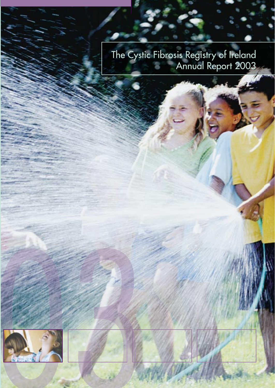# The Cystic Fibrosis Registry of Ireland<br>Annual Report 2003

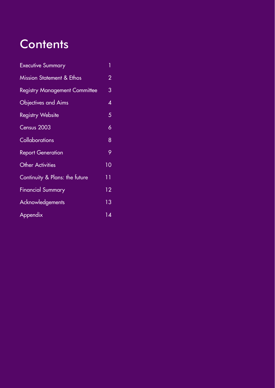## **Contents**

| <b>Executive Summary</b>             | 1              |
|--------------------------------------|----------------|
| Mission Statement & Ethos            | $\overline{2}$ |
| <b>Registry Management Committee</b> | 3              |
| <b>Objectives and Aims</b>           | 4              |
| <b>Registry Website</b>              | 5              |
| Census 2003                          | 6              |
| Collaborations                       | 8              |
| <b>Report Generation</b>             | 9              |
| Other Activities                     | 10             |
| Continuity & Plans: the future       | 11             |
| <b>Financial Summary</b>             | 12             |
| Acknowledgements                     | 13             |
| <b>Appendix</b>                      | 14             |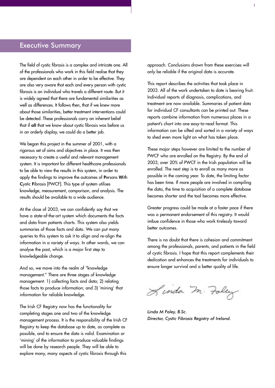## Executive Summary

The field of cystic fibrosis is a complex and intricate one. All of the professionals who work in this field realise that they are dependent on each other in order to be effective. They are also very aware that each and every person with cystic fibrosis is an individual who travels a different route. But it is widely agreed that there are fundamental similarities as well as differences. It follows then, that if we knew more about those similarities, better treatment interventions could be detected. These professionals carry an inherent belief that if all that we know about cystic fibrosis was before us in an orderly display, we could do a better job.

We began this project in the summer of 2001, with a rigorous set of aims and objectives in place. It was then necessary to create a useful and relevant management system. It is important for different healthcare professionals to be able to view the results in this system, in order to apply the findings to improve the outcomes of Persons With Cystic Fibrosis [PWCF]. This type of system utilises knowledge, measurement, comparison, and analysis. The results should be available to a wide audience.

At the close of 2003, we can confidently say that we have a state-of-the-art system which documents the facts and data from patients charts. This system also yields summaries of those facts and data. We can put many queries to this system to ask it to align and re-align the information in a variety of ways. In other words, we can analyse the past, which is a major first step to knowledgeable change.

And so, we move into the realm of "knowledge management." There are three stages of knowledge management: 1) collecting facts and data; 2) relating those facts to produce information; and 3) 'mining' that information for reliable knowledge.

The Irish CF Registry now has the functionality for completing stages one and two of the knowledge management process. It is the responsibility of the Irish CF Registry to keep the database up to date, as complete as possible, and to ensure the data is valid. Examination or 'mining' of the information to produce valuable findings will be done by research people. They will be able to explore many, many aspects of cystic fibrosis through this

approach. Conclusions drawn from these exercises will only be reliable if the original data is accurate.

This report describes the activities that took place in 2003. All of the work undertaken to date is bearing fruit. Individual reports of diagnosis, complications, and treatment are now available. Summaries of patient data for individual CF consultants can be printed out. These reports combine information from numerous places in a patient's chart into one easy-to-read format. This information can be sifted and sorted in a variety of ways to shed even more light on what has taken place.

These major steps however are limited to the number of PWCF who are enrolled on the Registry. By the end of 2003, over 20% of PWCF in the Irish population will be enrolled. The next step is to enroll as many more as possible in the coming year. To date, the limiting factor has been time. If more people are involved in compiling the data, the time to acquisition of a complete database becomes shorter and the tool becomes more effective.

Greater progress could be made at a faster pace if there was a permanent endorsement of this registry. It would imbue confidence in those who work tirelessly toward better outcomes.

There is no doubt that there is cohesion and commitment among the professionals, parents, and patients in the field of cystic fibrosis. I hope that this report complements their dedication and enhances the treatments for individuals to ensure longer survival and a better quality of life.

Linda M. Foley

*Linda M Foley, B.Sc. Director, Cystic Fibrosis Registry of Ireland.*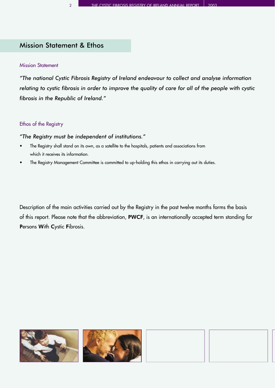## Mission Statement & Ethos

#### Mission Statement

*"The national Cystic Fibrosis Registry of Ireland endeavour to collect and analyse information relating to cystic fibrosis in order to improve the quality of care for all of the people with cystic fibrosis in the Republic of Ireland."*

#### Ethos of the Registry

#### *"The Registry must be independent of institutions."*

- The Registry shall stand on its own, as a satellite to the hospitals, patients and associations from which it receives its information.
- The Registry Management Committee is committed to up-holding this ethos in carrying out its duties.

Description of the main activities carried out by the Registry in the past twelve months forms the basis of this report. Please note that the abbreviation, PWCF, is an internationally accepted term standing for Persons With Cystic Fibrosis.

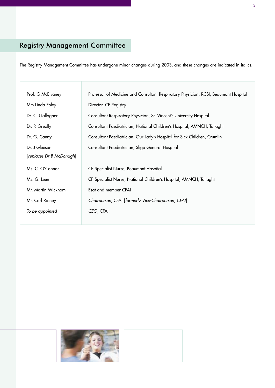## Registry Management Committee

The Registry Management Committee has undergone minor changes during 2003, and these changes are indicated in italics.

| Prof. G McElvaney        | Professor of Medicine and Consultant Respiratory Physician, RCSI, Beaumont Hospital |
|--------------------------|-------------------------------------------------------------------------------------|
| Mrs Linda Foley          | Director, CF Registry                                                               |
| Dr. C. Gallagher         | Consultant Respiratory Physician, St. Vincent's University Hospital                 |
| Dr. P. Greally           | Consultant Paediatrician, National Children's Hospital, AMNCH, Tallaght             |
| Dr. G. Canny             | Consultant Paediatrician, Our Lady's Hospital for Sick Children, Crumlin            |
| Dr. J Gleeson            | Consultant Paediatrician, Sligo General Hospital                                    |
| [replaces Dr B McDonagh] |                                                                                     |
| Ms. C. O'Connor          | CF Specialist Nurse, Beaumont Hospital                                              |
| Ms. G. Leen              | CF Specialist Nurse, National Children's Hospital, AMNCH, Tallaght                  |
| Mr. Martin Wickham       | Esat and member CFAI                                                                |
| Mr. Carl Rainey          | Chairperson, CFAI [formerly Vice-Chairperson, CFAI]                                 |
| To be appointed          | CEO, CFAI                                                                           |
|                          |                                                                                     |

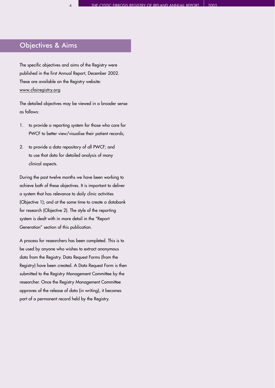The specific objectives and aims of the Registry were published in the first Annual Report, December 2002. These are available on the Registry website: www.cfairegistry.org

The detailed objectives may be viewed in a broader sense as follows:

- 1. to provide a reporting system for those who care for PWCF to better view/visualise their patient records;
- 2. to provide a data repository of all PWCF; and to use that data for detailed analysis of many clinical aspects.

During the past twelve months we have been working to achieve both of these objectives. It is important to deliver a system that has relevance to daily clinic activities (Objective 1); and at the same time to create a databank for research (Objective 2). The style of the reporting system is dealt with in more detail in the "Report Generation" section of this publication.

A process for researchers has been completed. This is to be used by anyone who wishes to extract anonymous data from the Registry. Data Request Forms (from the Registry) have been created. A Data Request Form is then submitted to the Registry Management Committee by the researcher. Once the Registry Management Committee approves of the release of data (in writing), it becomes part of a permanent record held by the Registry.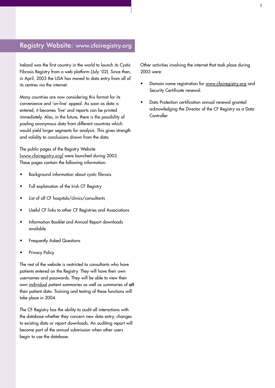## Registry Website: www.cfairegistry.org

Ireland was the first country in the world to launch its Cystic Fibrosis Registry from a web platform (July '02). Since then, in April, 2003 the USA has moved to data entry from all of its centres via the internet.

Many countries are now considering this format for its convenience and 'on-line' appeal. As soon as data is entered, it becomes 'live' and reports can be printed immediately. Also, in the future, there is the possibility of pooling anonymous data from different countries which would yield larger segments for analysis. This gives strength and validity to conclusions drawn from the data.

The public pages of the Registry Website [www.cfairegistry.org] were launched during 2003. These pages contain the following information:

- Background information about cystic fibrosis
- Full explanation of the Irish CF Registry
- List of all CF hospitals/clinics/consultants
- Useful CF links to other CF Registries and Associations
- Information Booklet and Annual Report downloads available
- Frequently Asked Questions
- Privacy Policy

The rest of the website is restricted to consultants who have patients entered on the Registry. They will have their own usernames and passwords. They will be able to view their own individual patient summaries as well as summaries of all their patient data. Training and testing of these functions will take place in 2004.

The CF Registry has the ability to audit all interactions with the database whether they concern new data entry, changes to existing data or report downloads. An auditing report will become part of the annual submission when other users begin to use the database.

Other activities involving the internet that took place during 2003 were:

- Domain name registration for www.cfairegistry.org and Security Certificate renewal.
- Data Protection certification annual renewal granted acknowledging the Director of the CF Registry as a Data **Controller**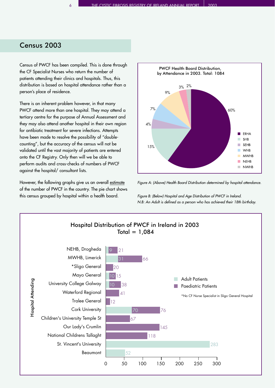## Census 2003

Census of PWCF has been compiled. This is done through the CF Specialist Nurses who return the number of patients attending their clinics and hospitals. Thus, this distribution is based on hospital attendance rather than a person's place of residence.

There is an inherent problem however, in that many PWCF attend more than one hospital. They may attend a tertiary centre for the purpose of Annual Assessment and they may also attend another hospital in their own region for antibiotic treatment for severe infections. Attempts have been made to resolve the possibility of "doublecounting", but the accuracy of the census will not be validated until the vast majority of patients are entered onto the CF Registry. Only then will we be able to perform audits and cross-checks of numbers of PWCF against the hospital/ consultant lists.

However, the following graphs give us an overall estimate of the number of PWCF in the country. The pie chart shows this census grouped by hospital within a health board.



*Figure A: (Above) Health Board Distribution determined by hospital attendance.*

*Figure B: (Below) Hospital and Age Distribution of PWCF in Ireland. N.B: An Adult is defined as a person who has achieved their 18th birthday.*

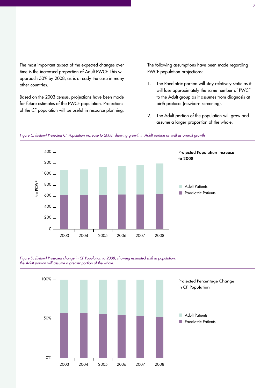The most important aspect of the expected changes over time is the increased proportion of Adult PWCF. This will approach 50% by 2008, as is already the case in many other countries.

Based on the 2003 census, projections have been made for future estimates of the PWCF population. Projections of the CF population will be useful in resource planning.

The following assumptions have been made regarding PWCF population projections:

- 1. The Paediatric portion will stay relatively static as it will lose approximately the same number of PWCF to the Adult group as it assumes from diagnosis at birth protocol (newborn screening).
- 2. The Adult portion of the population will grow and assume a larger proportion of the whole.







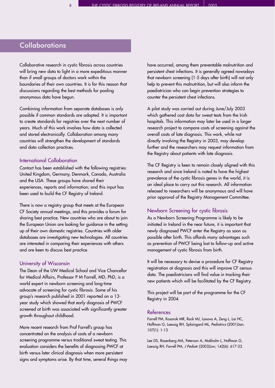#### 8

## **Collaborations**

Collaborative research in cystic fibrosis across countries will bring new data to light in a more expeditious manner than if small groups of doctors work within the boundaries of their own countries. It is for this reason that discussions regarding the best methods for pooling anonymous data have begun.

Combining information from separate databases is only possible if common standards are adopted. It is important to create standards for registries over the next number of years. Much of this work involves how data is collected and stored electronically. Collaboration among many countries will strengthen the development of standards and data collection practices.

#### International Collaboration

Contact has been established with the following registries: United Kingdom, Germany, Denmark, Canada, Australia and the USA. These groups have shared their experiences, reports and information; and this input has been used to build the CF Registry of Ireland.

There is now a registry group that meets at the European CF Society annual meetings, and this provides a forum for sharing best practice. New countries who are about to join the European Union are looking for guidance in the setting up of their own domestic registries. Countries with older databases are investigating new technologies. All countries are interested in comparing their experiences with others and are keen to discuss best practice.

#### University of Wisconsin

The Dean of the UW Medical School and Vice Chancellor for Medical Affairs, Professor P M Farrell, MD, PhD, is a world expert in newborn screening and long-time advocate of screening for cystic fibrosis. Some of his group's research published in 2001 reported on a 13 year study which showed that early diagnosis of PWCF screened at birth was associated with significantly greater growth throughout childhood.

More recent research from Prof Farrell's group has concentrated on the analysis of costs of a newborn screening programme versus traditional sweat testing. This evaluation considers the benefits of diagnosing PWCF at birth versus later clinical diagnosis when more persistent signs and symptoms arise. By that time, several things may

have occurred, among them preventable malnutrition and persistent chest infections. It is generally agreed nowadays that newborn screening (1-5 days after birth) will not only help to prevent this malnutrition, but will also inform the paediatrician who can begin prevention strategies to counter the persistent chest infections.

A pilot study was carried out during June/July 2003 which gathered cost data for sweat tests from the Irish hospitals. This information may later be used in a larger research project to compare costs of screening against the overall costs of late diagnosis. This work, while not directly involving the Registry in 2003, may develop further and the researchers may request information from the Registry about patients with late diagnosis.

The CF Registry is keen to remain closely aligned with this research and since Ireland is noted to have the highest prevalence of the cystic fibrosis genes in the world, it is an ideal place to carry out this research. All information released to researchers will be anonymous and will have prior approval of the Registry Management Committee.

#### Newborn Screening for cystic fibrosis

As a Newborn Screening Programme is likely to be initiated in Ireland in the near future, it is important that newly diagnosed PWCF enter the Registry as soon as possible after birth. This affords many advantages such as prevention of PWCF being lost to follow-up and active management of cystic fibrosis from birth.

It will be necessary to devise a procedure for CF Registry registration at diagnosis and this will improve CF census data. The paediatricians will find value in tracking their new patients which will be facilitated by the CF Registry.

This project will be part of the programme for the CF Registry in 2004.

#### References

Farrell PM, Kosorok MR, Rock MJ, Laxova A, Zeng L, Lai HC, Hoffman G, Laessig RH, Splaingard ML, *Pediatrics* (2001)Jan; 107(1): 1-13

Lee DS, Rosenberg MA, Peterson A, Makholm L, Hoffman G, Laessig RH, Farrell PM, *J Pediatr* (2003)Jun; 142(6): 617-23.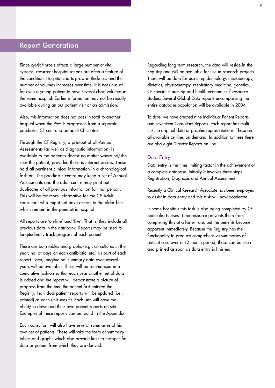## Report Generation

Since cystic fibrosis affects a large number of vital systems, recurrent hospitalisations are often a feature of the condition. Hospital charts grow in thickness and the number of volumes increases over time. It is not unusual for even a young patient to have several chart volumes in the same hospital. Earlier information may not be readily available during an out-patient visit or an admission.

Also, this information does not pass in total to another hospital when the PWCF progresses from a separate paediatric CF centre to an adult CF centre.

Through the CF Registry, a printout of all Annual Assessments (as well as diagnostic information) is available to the patient's doctor no matter where he/she sees the patient, provided there is internet access. These hold all pertinent clinical information in a chronological fashion. The paediatric centre may keep a set of Annual Assessments and the adult centre may print out duplicates of all previous information for that person. This will be far more informative for the CF Adult consultant who might not have access to the older files which remain in the paediatric hospital.

All reports are 'on-line' and 'live'. That is, they include all previous data in the databank. Reports may be used to longitudinally track progress of each patient.

There are both tables and graphs (e.g., all cultures in the year; no. of days on each antibiotic, etc.) as part of each report. Later, longitudinal summary data over several years will be available. These will be summarised in a cumulative fashion so that each year another set of data is added and the report will demonstrate a picture of progress from the time the patient first entered the Registry. Individual patient reports will be updated (i.e., printed) as each unit sees fit. Each unit will have the ability to download their own patient reports on site. Examples of these reports can be found in the Appendix.

Each consultant will also have several summaries of his own set of patients. These will take the form of summary tables and graphs which also provide links to the specific data or patient from which they are derived.

Regarding long term research, the data will reside in the Registry and will be available for use in research projects. There will be data for use in epidemiology, microbiology, dietetics, physiotherapy, respiratory medicine, genetics, CF specialist nursing and health economics / resource studies. Several Global Data reports encompassing the entire database population will be available in 2004.

To date, we have created nine Individual Patient Reports and seventeen Consultant Reports. Each report has multilinks to original data or graphic representations. These are all available on-line, on-demand. In addition to these there are also eight Director Reports on-line.

#### Data Entry

Data entry is the time limiting factor in the achievement of a complete database. Initially it involves three steps: Registration, Diagnosis and Annual Assessment.

Recently a Clinical Research Associate has been employed to assist in data entry and this task will now accelerate.

In some hospitals this task is also being completed by CF Specialist Nurses. Time resource prevents them from completing this at a faster rate, but the benefits become apparent immediately. Because the Registry has the functionality to produce comprehensive summaries of patient care over a 12 month period, these can be seen and printed as soon as data entry is finished.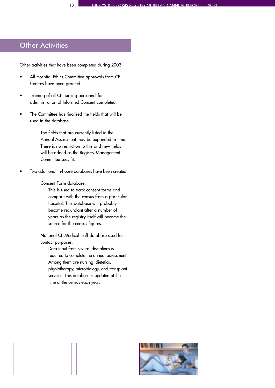## **Other Activities**

Other activities that have been completed during 2003:

- All Hospital Ethics Committee approvals from CF Centres have been granted.
- Training of all CF nursing personnel for administration of Informed Consent completed.
- The Committee has finalised the fields that will be used in the database.

The fields that are currently listed in the Annual Assessment may be expanded in time. There is no restriction to this and new fields will be added as the Registry Management Committee sees fit.

Two additional in-house databases have been created:

#### Consent Form database:

This is used to track consent forms and compare with the census from a particular hospital. This database will probably become redundant after a number of years as the registry itself will become the source for the census figures.

National CF Medical staff database used for contact purposes:

Data input from several disciplines is required to complete the annual assessment. Among them are nursing, dietetics, physiotherapy, microbiology, and transplant services. This database is updated at the time of the census each year.

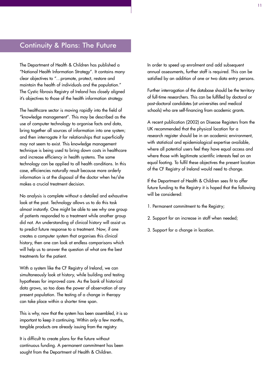#### Continuity & Plans: The Future

The Department of Health & Children has published a "National Health Information Strategy". It contains many clear objectives to "…promote, protect, restore and maintain the health of individuals and the population." The Cystic fibrosis Registry of Ireland has closely aligned it's objectives to those of the health information strategy.

The healthcare sector is moving rapidly into the field of "knowledge management". This may be described as the use of computer technology to organise facts and data, bring together all sources of information into one system; and then interrogate it for relationships that superficially may not seem to exist. This knowledge management technique is being used to bring down costs in healthcare and increase efficiency in health systems. The same technology can be applied to all health conditions. In this case, efficiencies naturally result because more orderly information is at the disposal of the doctor when he/she makes a crucial treatment decision.

No analysis is complete without a detailed and exhaustive look at the past. Technology allows us to do this task almost instantly. One might be able to see why one group of patients responded to a treatment while another group did not. An understanding of clinical history will assist us to predict future response to a treatment. Now, if one creates a computer system that organises this clinical history, then one can look at endless comparisons which will help us to answer the question of what are the best treatments for the patient.

With a system like the CF Registry of Ireland, we can simultaneously look at history, while building and testing hypotheses for improved care. As the bank of historical data grows, so too does the power of observation of any present population. The testing of a change in therapy can take place within a shorter time span.

This is why, now that the system has been assembled, it is so important to keep it continuing. Within only a few months, tangible products are already issuing from the registry.

It is difficult to create plans for the future without continuous funding. A permanent commitment has been sought from the Department of Health & Children.

In order to speed up enrolment and add subsequent annual assessments, further staff is required. This can be satisfied by an addition of one or two data entry persons.

Further interrogation of the database should be the territory of full-time researchers. This can be fulfilled by doctoral or post-doctoral candidates (at universities and medical schools) who are self-financing from academic grants.

A recent publication (2002) on Disease Registers from the UK recommended that the physical location for a research register should be in an academic environment, with statistical and epidemiological expertise available, where all potential users feel they have equal access and where those with legitimate scientific interests feel on an equal footing. To fulfil these objectives the present location of the CF Registry of Ireland would need to change.

If the Department of Health & Children sees fit to offer future funding to the Registry it is hoped that the following will be considered:

- 1. Permanent commitment to the Registry;
- 2. Support for an increase in staff when needed;
- 3. Support for a change in location.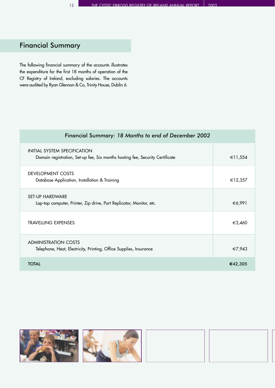The following financial summary of the accounts illustrates the expenditure for the first 18 months of operation of the CF Registry of Ireland, excluding salaries. The accounts were audited by Ryan Glennon & Co, Trinity House, Dublin 6.

| Financial Summary: 18 Months to end of December 2002                                                                 |         |
|----------------------------------------------------------------------------------------------------------------------|---------|
| <b>INITIAL SYSTEM SPECIFICATION</b><br>Domain registration, Set-up fee, Six months hosting fee, Security Certificate | €11,554 |
| DEVELOPMENT COSTS<br>Database Application, Installation & Training                                                   | €12,357 |
| SET-UP HARDWARE<br>Lap-top computer, Printer, Zip drive, Port Replicator, Monitor, etc.                              | €6,991  |
| <b>TRAVELLING EXPENSES</b>                                                                                           | €3,460  |
| <b>ADMINISTRATION COSTS</b><br>Telephone, Heat, Electricity, Printing, Office Supplies, Insurance                    | €7,943  |
| <b>TOTAL</b>                                                                                                         | €42,305 |

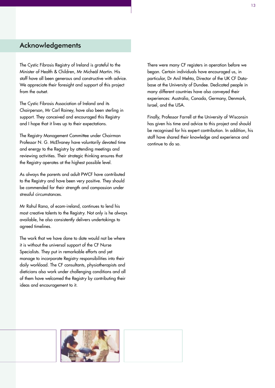## Acknowledgements

The Cystic Fibrosis Registry of Ireland is grateful to the Minister of Health & Children, Mr Micheál Martin. His staff have all been generous and constructive with advice. We appreciate their foresight and support of this project from the outset.

The Cystic Fibrosis Association of Ireland and its Chairperson, Mr Carl Rainey, have also been sterling in support. They conceived and encouraged this Registry and I hope that it lives up to their expectations.

The Registry Management Committee under Chairman Professor N. G. McElvaney have voluntarily devoted time and energy to the Registry by attending meetings and reviewing activities. Their strategic thinking ensures that the Registry operates at the highest possible level.

As always the parents and adult PWCF have contributed to the Registry and have been very positive. They should be commended for their strength and compassion under stressful circumstances.

Mr Rahul Rana, of ecom-ireland, continues to lend his most creative talents to the Registry. Not only is he always available, he also consistently delivers undertakings to agreed timelines.

The work that we have done to date would not be where it is without the universal support of the CF Nurse Specialists. They put in remarkable efforts and yet manage to incorporate Registry responsibilities into their daily workload. The CF consultants, physiotherapists and dieticians also work under challenging conditions and all of them have welcomed the Registry by contributing their ideas and encouragement to it.

There were many CF registers in operation before we began. Certain individuals have encouraged us, in particular, Dr Anil Mehta, Director of the UK CF Database at the University of Dundee. Dedicated people in many different countries have also conveyed their experiences: Australia, Canada, Germany, Denmark, Israel, and the USA.

Finally, Professor Farrell at the University of Wisconsin has given his time and advice to this project and should be recognised for his expert contribution. In addition, his staff have shared their knowledge and experience and continue to do so.

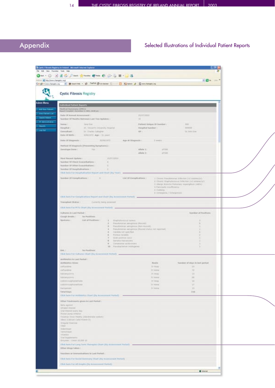## Appendix

## Selected Illustrations of Individual Patient Reports

|                                                                                              | Gorgic Londongston; H. Brooklet, C. Territ Disclosed Co. 12 Notes & Geneteration;                                      |
|----------------------------------------------------------------------------------------------|------------------------------------------------------------------------------------------------------------------------|
| <b>Cystic Fibrosis Registry</b>                                                              |                                                                                                                        |
| miljóðust Pallast Kuppfa                                                                     |                                                                                                                        |
| MacRical Summers (1991)<br>Rossell Entrapikal - Decrember 3, 2004, 10:00 pm                  |                                                                                                                        |
| Traitist Of Amnual Advantument 1                                                             | <b>BANTINGS</b>                                                                                                        |
| Auserdays Of Monthly Baltimore Land Trees Updates :                                          | 33                                                                                                                     |
| <b>Name:</b> 1<br>38'd DVL                                                                   | <b>SOL</b><br>Putteret Unique 33 hardwr :                                                                              |
| Entragedised :<br>31. Vincent's University Mosphal.                                          | Floragill all flasmsbare to<br><b>PERMITE</b>                                                                          |
| Carryall and 1<br>31 Utariai Galagher<br>Diskul 20 Block L.<br>ANNIBUR Age 1 TI Joseph       | <b>GP</b> 1<br>To, John Dow                                                                                            |
| Doku Of Disgmaph :<br>1 30/MAD 972                                                           | Age At thegreate L.<br>$2$ weeks                                                                                       |
| Hotbad (if Eleptosis (Fresonting Eyeshotts) (                                                |                                                                                                                        |
| <b>Sandype Brow  </b><br>. Pen 21                                                            | Affalm E11<br>17715                                                                                                    |
|                                                                                              | $A$ Felix 2:<br>AP 9 EE                                                                                                |
| Wood Hersenh Upskela :<br>JPLAV/SIRES                                                        |                                                                                                                        |
| Namber Of Chara Exacerbations :<br>$\mathbb{R}^n$<br>Norriker Of Other Eunierhallors :<br>m. |                                                                                                                        |
| Navelser Of HengiltsBeatlane J.<br>リスポット                                                     |                                                                                                                        |
| Club, bern Eor Hough Mindless Brandt and Clinit (By Year)                                    |                                                                                                                        |
| Number Of Complications    <br>$\blacksquare$                                                | List Of Complications :<br>3 Oldsmi Peaumenter Infection Cd Indensity).<br>I Onen's Sharemone Interior (cd interested) |
|                                                                                              | 3 Allergic Briencha Pulmomery Aspecialisms (AMFA)                                                                      |
|                                                                                              | 4. Palaceado: insufficiency<br>3. Children                                                                             |
| EBA have Fer Completenterst Heport and Ebank (by Associational Period)                       | E Orivojania / Orivojanaco                                                                                             |
| Transplant Matus :                                                                           |                                                                                                                        |
| Currently being available?                                                                   |                                                                                                                        |
| (Stak Jases Cas PET) (Shart (Ny boxeconount Partiel) -                                       |                                                                                                                        |
| Unfluens in Lost Forlied 1<br>Courgh Syraths :<br><b>No Positives</b>                        | Assember of FordOver.                                                                                                  |
| <b>Novihiama</b> 1<br>List of FoxKives  <br>A STACHSFORD AVENUE                              |                                                                                                                        |
| 8 PolyAlmonas aesigness (Philips)                                                            | 2 Fourtherman antigrate (first mudde)                                                                                  |
| 3 Carolina rult specified                                                                    | 4 Presidentes antiprova (Muzzle status not national)                                                                   |
| 6 Profilest Haraldik                                                                         |                                                                                                                        |
| # Gram posttive catch<br>lierata excelerat<br>$\mathbb{R}$                                   |                                                                                                                        |
| <b>B</b> Competitives achilications.<br>60 Flexibarbetum indologenes                         |                                                                                                                        |
| BALL:<br>fea Paulines.                                                                       |                                                                                                                        |
| 45k/k Detroit Fair Culturers Chieff (By Assessment Period)                                   |                                                                                                                        |
| Actibiuties in Lett Ferral 1<br>Antibiotics Gloss                                            |                                                                                                                        |
| cettacons.                                                                                   | <b>Route</b><br>families of days in last period.<br>11<br>11 Hotel                                                     |
| <b>INTAILERS</b>                                                                             | <b>ST Holla</b><br>m                                                                                                   |
| <b>Robornstrees</b><br><b>REDESIGNATION</b>                                                  | m<br>FT PRINT<br><b>bi</b> home<br>$\frac{1}{2}$                                                                       |
| 3 pitcher + colphometricans                                                                  | <b>PIT WANTED</b><br>m                                                                                                 |
| system + cophonetrials                                                                       | <b>YF</b><br>Tel Homes                                                                                                 |
| Telligations.<br><b>Total Days</b>                                                           | $\mathbb{Z}$<br>Tel Holmer<br>216                                                                                      |
| EBUL Facer For Anti-Auto a thurt (the Association) Factor()                                  |                                                                                                                        |
| Uther trautments gives in Last Period 1                                                      |                                                                                                                        |
| Bata agreed .                                                                                |                                                                                                                        |
| Inhaled Diamid<br>O'll thereof every year.                                                   |                                                                                                                        |
| Printer Jerry inhibitor<br>Freamer finds Weekly Linksbrooks suchasy                          |                                                                                                                        |
| 10pm 354muni Carls/Vitamer 21.                                                               |                                                                                                                        |
| Impie Instine<br>CHE                                                                         |                                                                                                                        |
| <b>State children</b><br><b><i>Standard Gallery</i></b>                                      |                                                                                                                        |
| ATLANDSE                                                                                     |                                                                                                                        |
| O'al Trapperent)<br>Entymous   Crecort \$5,000 ST                                            |                                                                                                                        |
| (Olivik Reario Evel Living Tranks Thomas/data Chieff Efty Associationson) Particula          |                                                                                                                        |
| ERRANT (Articol) Trafesco                                                                    |                                                                                                                        |
| Vaccines or insmunisations in Lavt Period :                                                  |                                                                                                                        |
|                                                                                              |                                                                                                                        |
| Click frees For Smith Lemmary Usef. [By Assessment Fields]                                   |                                                                                                                        |
| Clink buye For All Gregory (by Assessment Partial)                                           |                                                                                                                        |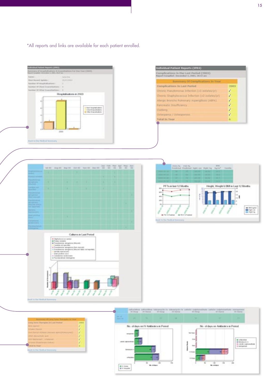\*All reports and links are available for each patient enrolled.



| <b>Flueraudes Int Last Parties</b> |  |
|------------------------------------|--|
|                                    |  |
| <b>Paint Forest</b>                |  |
|                                    |  |
|                                    |  |
| Chevrolet Carl Alanced             |  |
|                                    |  |
| <b>Folked De Palaet</b>            |  |

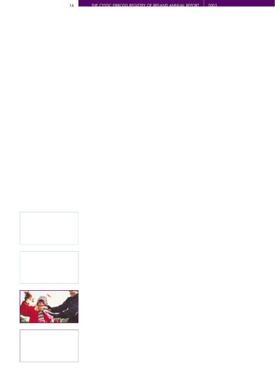